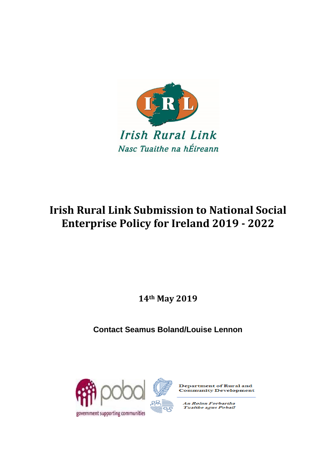

# **Irish Rural Link Submission to National Social Enterprise Policy for Ireland 2019 - 2022**

**14th May 2019**

**Contact Seamus Boland/Louise Lennon**





**Department of Rural and Community Development** 

An Roinn Forbartha<br>Tuaithe agus Pobail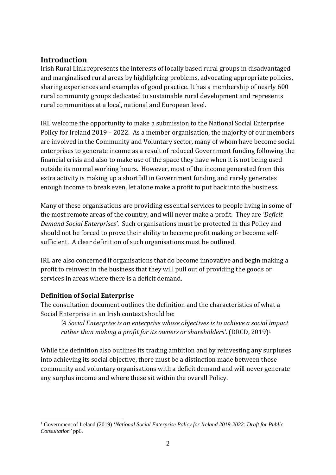## **Introduction**

Irish Rural Link represents the interests of locally based rural groups in disadvantaged and marginalised rural areas by highlighting problems, advocating appropriate policies, sharing experiences and examples of good practice. It has a membership of nearly 600 rural community groups dedicated to sustainable rural development and represents rural communities at a local, national and European level.

IRL welcome the opportunity to make a submission to the National Social Enterprise Policy for Ireland 2019 – 2022. As a member organisation, the majority of our members are involved in the Community and Voluntary sector, many of whom have become social enterprises to generate income as a result of reduced Government funding following the financial crisis and also to make use of the space they have when it is not being used outside its normal working hours. However, most of the income generated from this extra activity is making up a shortfall in Government funding and rarely generates enough income to break even, let alone make a profit to put back into the business.

Many of these organisations are providing essential services to people living in some of the most remote areas of the country, and will never make a profit. They are *'Deficit Demand Social Enterprises'*. Such organisations must be protected in this Policy and should not be forced to prove their ability to become profit making or become selfsufficient. A clear definition of such organisations must be outlined.

IRL are also concerned if organisations that do become innovative and begin making a profit to reinvest in the business that they will pull out of providing the goods or services in areas where there is a deficit demand.

#### **Definition of Social Enterprise**

The consultation document outlines the definition and the characteristics of what a Social Enterprise in an Irish context should be:

*'A Social Enterprise is an enterprise whose objectives is to achieve a social impact rather than making a profit for its owners or shareholders'*. (DRCD, 2019)<sup>1</sup>

While the definition also outlines its trading ambition and by reinvesting any surpluses into achieving its social objective, there must be a distinction made between those community and voluntary organisations with a deficit demand and will never generate any surplus income and where these sit within the overall Policy.

<sup>&</sup>lt;u>.</u> <sup>1</sup> Government of Ireland (2019) '*National Social Enterprise Policy for Ireland 2019-2022: Draft for Public Consultation'* pp6.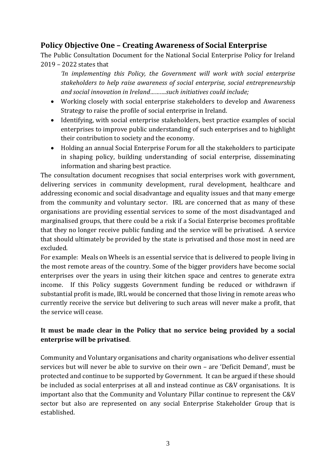## **Policy Objective One – Creating Awareness of Social Enterprise**

The Public Consultation Document for the National Social Enterprise Policy for Ireland 2019 – 2022 states that

*'In implementing this Policy, the Government will work with social enterprise stakeholders to help raise awareness of social enterprise, social entrepreneurship and social innovation in Ireland……….such initiatives could include;*

- Working closely with social enterprise stakeholders to develop and Awareness Strategy to raise the profile of social enterprise in Ireland.
- Identifying, with social enterprise stakeholders, best practice examples of social enterprises to improve public understanding of such enterprises and to highlight their contribution to society and the economy.
- Holding an annual Social Enterprise Forum for all the stakeholders to participate in shaping policy, building understanding of social enterprise, disseminating information and sharing best practice.

The consultation document recognises that social enterprises work with government, delivering services in community development, rural development, healthcare and addressing economic and social disadvantage and equality issues and that many emerge from the community and voluntary sector. IRL are concerned that as many of these organisations are providing essential services to some of the most disadvantaged and marginalised groups, that there could be a risk if a Social Enterprise becomes profitable that they no longer receive public funding and the service will be privatised. A service that should ultimately be provided by the state is privatised and those most in need are excluded.

For example: Meals on Wheels is an essential service that is delivered to people living in the most remote areas of the country. Some of the bigger providers have become social enterprises over the years in using their kitchen space and centres to generate extra income. If this Policy suggests Government funding be reduced or withdrawn if substantial profit is made, IRL would be concerned that those living in remote areas who currently receive the service but delivering to such areas will never make a profit, that the service will cease.

### **It must be made clear in the Policy that no service being provided by a social enterprise will be privatised**.

Community and Voluntary organisations and charity organisations who deliver essential services but will never be able to survive on their own – are 'Deficit Demand', must be protected and continue to be supported by Government. It can be argued if these should be included as social enterprises at all and instead continue as C&V organisations. It is important also that the Community and Voluntary Pillar continue to represent the C&V sector but also are represented on any social Enterprise Stakeholder Group that is established.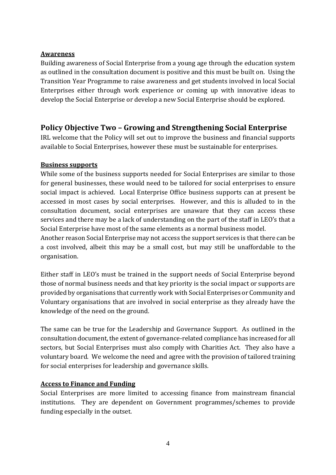#### **Awareness**

Building awareness of Social Enterprise from a young age through the education system as outlined in the consultation document is positive and this must be built on. Using the Transition Year Programme to raise awareness and get students involved in local Social Enterprises either through work experience or coming up with innovative ideas to develop the Social Enterprise or develop a new Social Enterprise should be explored.

## **Policy Objective Two – Growing and Strengthening Social Enterprise**

IRL welcome that the Policy will set out to improve the business and financial supports available to Social Enterprises, however these must be sustainable for enterprises.

#### **Business supports**

While some of the business supports needed for Social Enterprises are similar to those for general businesses, these would need to be tailored for social enterprises to ensure social impact is achieved. Local Enterprise Office business supports can at present be accessed in most cases by social enterprises. However, and this is alluded to in the consultation document, social enterprises are unaware that they can access these services and there may be a lack of understanding on the part of the staff in LEO's that a Social Enterprise have most of the same elements as a normal business model.

Another reason Social Enterprise may not access the support services is that there can be a cost involved, albeit this may be a small cost, but may still be unaffordable to the organisation.

Either staff in LEO's must be trained in the support needs of Social Enterprise beyond those of normal business needs and that key priority is the social impact or supports are provided by organisations that currently work with Social Enterprises or Community and Voluntary organisations that are involved in social enterprise as they already have the knowledge of the need on the ground.

The same can be true for the Leadership and Governance Support. As outlined in the consultation document, the extent of governance-related compliance has increased for all sectors, but Social Enterprises must also comply with Charities Act. They also have a voluntary board. We welcome the need and agree with the provision of tailored training for social enterprises for leadership and governance skills.

#### **Access to Finance and Funding**

Social Enterprises are more limited to accessing finance from mainstream financial institutions. They are dependent on Government programmes/schemes to provide funding especially in the outset.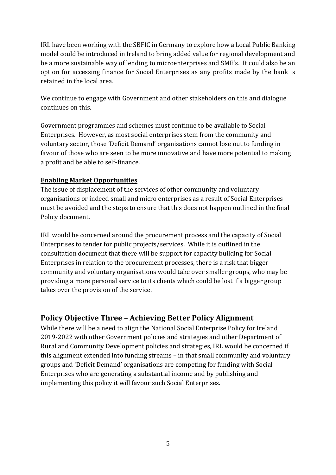IRL have been working with the SBFIC in Germany to explore how a Local Public Banking model could be introduced in Ireland to bring added value for regional development and be a more sustainable way of lending to microenterprises and SME's. It could also be an option for accessing finance for Social Enterprises as any profits made by the bank is retained in the local area.

We continue to engage with Government and other stakeholders on this and dialogue continues on this.

Government programmes and schemes must continue to be available to Social Enterprises. However, as most social enterprises stem from the community and voluntary sector, those 'Deficit Demand' organisations cannot lose out to funding in favour of those who are seen to be more innovative and have more potential to making a profit and be able to self-finance.

#### **Enabling Market Opportunities**

The issue of displacement of the services of other community and voluntary organisations or indeed small and micro enterprises as a result of Social Enterprises must be avoided and the steps to ensure that this does not happen outlined in the final Policy document.

IRL would be concerned around the procurement process and the capacity of Social Enterprises to tender for public projects/services. While it is outlined in the consultation document that there will be support for capacity building for Social Enterprises in relation to the procurement processes, there is a risk that bigger community and voluntary organisations would take over smaller groups, who may be providing a more personal service to its clients which could be lost if a bigger group takes over the provision of the service.

## **Policy Objective Three – Achieving Better Policy Alignment**

While there will be a need to align the National Social Enterprise Policy for Ireland 2019-2022 with other Government policies and strategies and other Department of Rural and Community Development policies and strategies, IRL would be concerned if this alignment extended into funding streams – in that small community and voluntary groups and 'Deficit Demand' organisations are competing for funding with Social Enterprises who are generating a substantial income and by publishing and implementing this policy it will favour such Social Enterprises.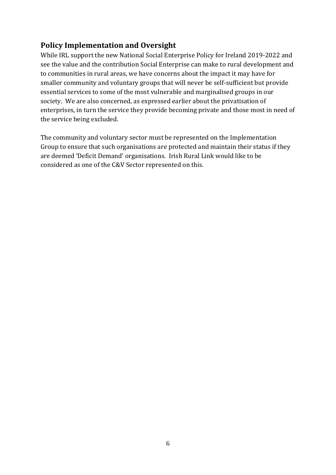## **Policy Implementation and Oversight**

While IRL support the new National Social Enterprise Policy for Ireland 2019-2022 and see the value and the contribution Social Enterprise can make to rural development and to communities in rural areas, we have concerns about the impact it may have for smaller community and voluntary groups that will never be self-sufficient but provide essential services to some of the most vulnerable and marginalised groups in our society. We are also concerned, as expressed earlier about the privatisation of enterprises, in turn the service they provide becoming private and those most in need of the service being excluded.

The community and voluntary sector must be represented on the Implementation Group to ensure that such organisations are protected and maintain their status if they are deemed 'Deficit Demand' organisations. Irish Rural Link would like to be considered as one of the C&V Sector represented on this.